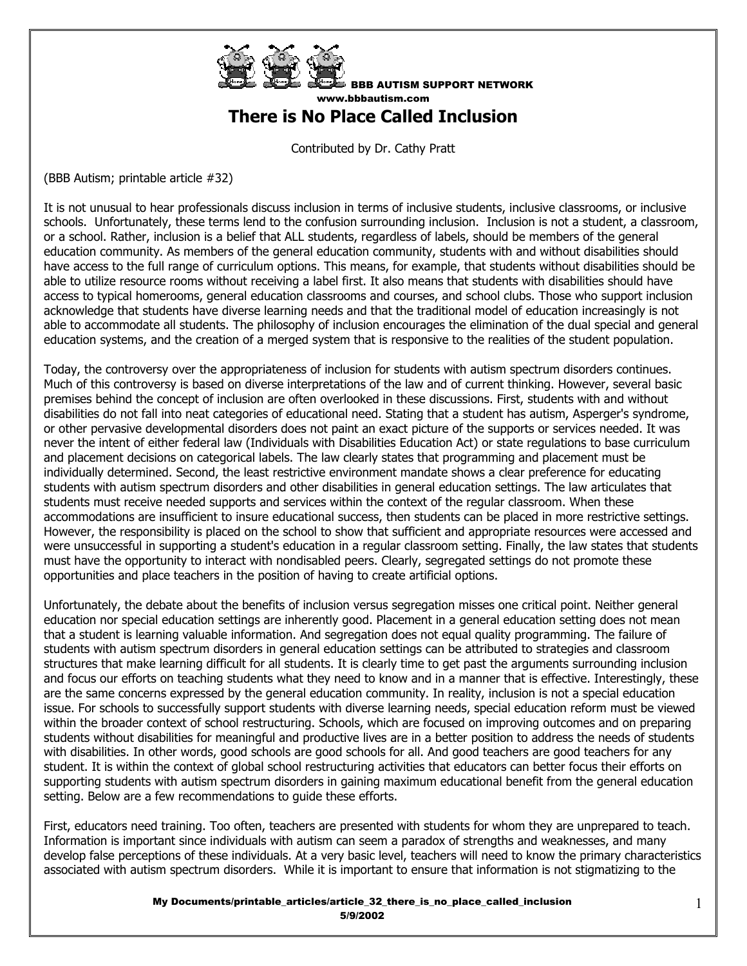

BBB AUTISM SUPPORT NETWORK www.bbbautism.com **There is No Place Called Inclusion** 

Contributed by Dr. Cathy Pratt

(BBB Autism; printable article #32)

It is not unusual to hear professionals discuss inclusion in terms of inclusive students, inclusive classrooms, or inclusive schools. Unfortunately, these terms lend to the confusion surrounding inclusion. Inclusion is not a student, a classroom, or a school. Rather, inclusion is a belief that ALL students, regardless of labels, should be members of the general education community. As members of the general education community, students with and without disabilities should have access to the full range of curriculum options. This means, for example, that students without disabilities should be able to utilize resource rooms without receiving a label first. It also means that students with disabilities should have access to typical homerooms, general education classrooms and courses, and school clubs. Those who support inclusion acknowledge that students have diverse learning needs and that the traditional model of education increasingly is not able to accommodate all students. The philosophy of inclusion encourages the elimination of the dual special and general education systems, and the creation of a merged system that is responsive to the realities of the student population.

Today, the controversy over the appropriateness of inclusion for students with autism spectrum disorders continues. Much of this controversy is based on diverse interpretations of the law and of current thinking. However, several basic premises behind the concept of inclusion are often overlooked in these discussions. First, students with and without disabilities do not fall into neat categories of educational need. Stating that a student has autism, Asperger's syndrome, or other pervasive developmental disorders does not paint an exact picture of the supports or services needed. It was never the intent of either federal law (Individuals with Disabilities Education Act) or state regulations to base curriculum and placement decisions on categorical labels. The law clearly states that programming and placement must be individually determined. Second, the least restrictive environment mandate shows a clear preference for educating students with autism spectrum disorders and other disabilities in general education settings. The law articulates that students must receive needed supports and services within the context of the regular classroom. When these accommodations are insufficient to insure educational success, then students can be placed in more restrictive settings. However, the responsibility is placed on the school to show that sufficient and appropriate resources were accessed and were unsuccessful in supporting a student's education in a regular classroom setting. Finally, the law states that students must have the opportunity to interact with nondisabled peers. Clearly, segregated settings do not promote these opportunities and place teachers in the position of having to create artificial options.

Unfortunately, the debate about the benefits of inclusion versus segregation misses one critical point. Neither general education nor special education settings are inherently good. Placement in a general education setting does not mean that a student is learning valuable information. And segregation does not equal quality programming. The failure of students with autism spectrum disorders in general education settings can be attributed to strategies and classroom structures that make learning difficult for all students. It is clearly time to get past the arguments surrounding inclusion and focus our efforts on teaching students what they need to know and in a manner that is effective. Interestingly, these are the same concerns expressed by the general education community. In reality, inclusion is not a special education issue. For schools to successfully support students with diverse learning needs, special education reform must be viewed within the broader context of school restructuring. Schools, which are focused on improving outcomes and on preparing students without disabilities for meaningful and productive lives are in a better position to address the needs of students with disabilities. In other words, good schools are good schools for all. And good teachers are good teachers for any student. It is within the context of global school restructuring activities that educators can better focus their efforts on supporting students with autism spectrum disorders in gaining maximum educational benefit from the general education setting. Below are a few recommendations to guide these efforts.

First, educators need training. Too often, teachers are presented with students for whom they are unprepared to teach. Information is important since individuals with autism can seem a paradox of strengths and weaknesses, and many develop false perceptions of these individuals. At a very basic level, teachers will need to know the primary characteristics associated with autism spectrum disorders. While it is important to ensure that information is not stigmatizing to the

> My Documents/printable\_articles/article\_32\_there\_is\_no\_place\_called\_inclusion 5/9/2002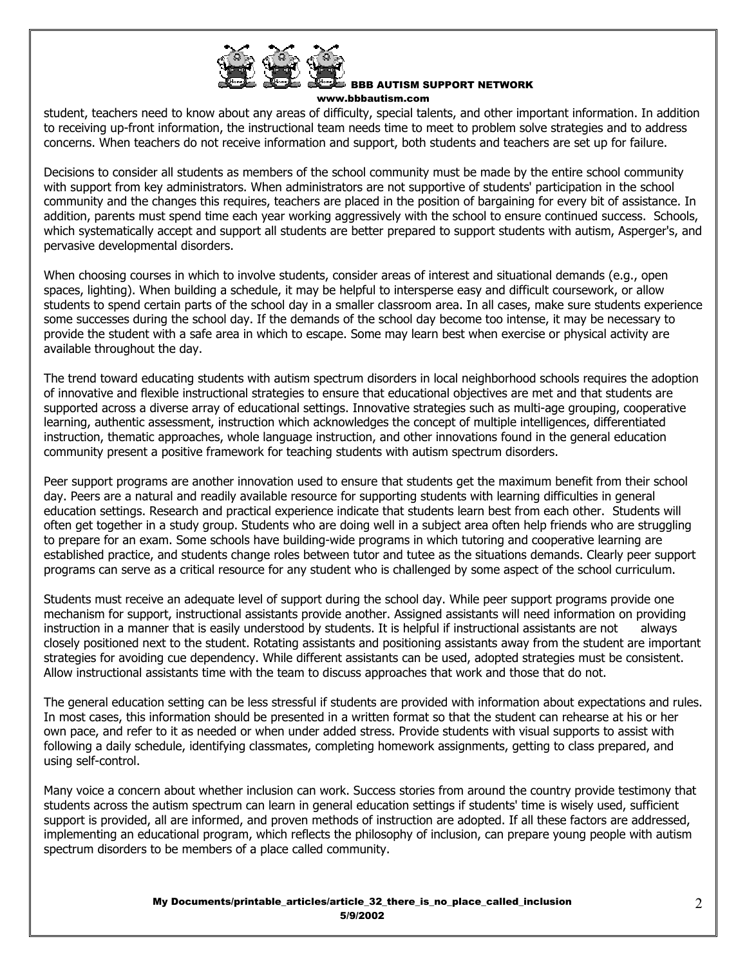

## BBB AUTISM SUPPORT NETWORK

www.bbbautism.com

student, teachers need to know about any areas of difficulty, special talents, and other important information. In addition to receiving up-front information, the instructional team needs time to meet to problem solve strategies and to address concerns. When teachers do not receive information and support, both students and teachers are set up for failure.

Decisions to consider all students as members of the school community must be made by the entire school community with support from key administrators. When administrators are not supportive of students' participation in the school community and the changes this requires, teachers are placed in the position of bargaining for every bit of assistance. In addition, parents must spend time each year working aggressively with the school to ensure continued success. Schools, which systematically accept and support all students are better prepared to support students with autism, Asperger's, and pervasive developmental disorders.

When choosing courses in which to involve students, consider areas of interest and situational demands (e.g., open spaces, lighting). When building a schedule, it may be helpful to intersperse easy and difficult coursework, or allow students to spend certain parts of the school day in a smaller classroom area. In all cases, make sure students experience some successes during the school day. If the demands of the school day become too intense, it may be necessary to provide the student with a safe area in which to escape. Some may learn best when exercise or physical activity are available throughout the day.

The trend toward educating students with autism spectrum disorders in local neighborhood schools requires the adoption of innovative and flexible instructional strategies to ensure that educational objectives are met and that students are supported across a diverse array of educational settings. Innovative strategies such as multi-age grouping, cooperative learning, authentic assessment, instruction which acknowledges the concept of multiple intelligences, differentiated instruction, thematic approaches, whole language instruction, and other innovations found in the general education community present a positive framework for teaching students with autism spectrum disorders.

Peer support programs are another innovation used to ensure that students get the maximum benefit from their school day. Peers are a natural and readily available resource for supporting students with learning difficulties in general education settings. Research and practical experience indicate that students learn best from each other. Students will often get together in a study group. Students who are doing well in a subject area often help friends who are struggling to prepare for an exam. Some schools have building-wide programs in which tutoring and cooperative learning are established practice, and students change roles between tutor and tutee as the situations demands. Clearly peer support programs can serve as a critical resource for any student who is challenged by some aspect of the school curriculum.

Students must receive an adequate level of support during the school day. While peer support programs provide one mechanism for support, instructional assistants provide another. Assigned assistants will need information on providing instruction in a manner that is easily understood by students. It is helpful if instructional assistants are not always closely positioned next to the student. Rotating assistants and positioning assistants away from the student are important strategies for avoiding cue dependency. While different assistants can be used, adopted strategies must be consistent. Allow instructional assistants time with the team to discuss approaches that work and those that do not.

The general education setting can be less stressful if students are provided with information about expectations and rules. In most cases, this information should be presented in a written format so that the student can rehearse at his or her own pace, and refer to it as needed or when under added stress. Provide students with visual supports to assist with following a daily schedule, identifying classmates, completing homework assignments, getting to class prepared, and using self-control.

Many voice a concern about whether inclusion can work. Success stories from around the country provide testimony that students across the autism spectrum can learn in general education settings if students' time is wisely used, sufficient support is provided, all are informed, and proven methods of instruction are adopted. If all these factors are addressed, implementing an educational program, which reflects the philosophy of inclusion, can prepare young people with autism spectrum disorders to be members of a place called community.